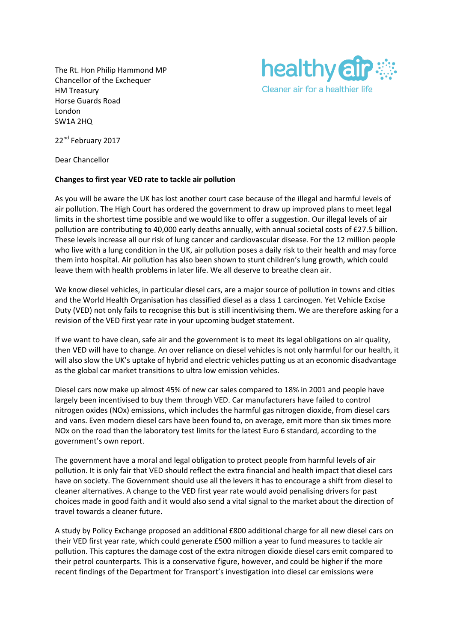The Rt. Hon Philip Hammond MP Chancellor of the Exchequer HM Treasury Horse Guards Road London SW1A 2HQ



22<sup>nd</sup> February 2017

Dear Chancellor

## **Changes to first year VED rate to tackle air pollution**

As you will be aware the UK has lost another court case because of the illegal and harmful levels of air pollution. The High Court has ordered the government to draw up improved plans to meet legal limits in the shortest time possible and we would like to offer a suggestion. Our illegal levels of air pollution are contributing to 40,000 early deaths annually, with annual societal costs of £27.5 billion. These levels increase all our risk of lung cancer and cardiovascular disease. For the 12 million people who live with a lung condition in the UK, air pollution poses a daily risk to their health and may force them into hospital. Air pollution has also been shown to stunt children's lung growth, which could leave them with health problems in later life. We all deserve to breathe clean air.

We know diesel vehicles, in particular diesel cars, are a major source of pollution in towns and cities and the World Health Organisation has classified diesel as a class 1 carcinogen. Yet Vehicle Excise Duty (VED) not only fails to recognise this but is still incentivising them. We are therefore asking for a revision of the VED first year rate in your upcoming budget statement.

If we want to have clean, safe air and the government is to meet its legal obligations on air quality, then VED will have to change. An over reliance on diesel vehicles is not only harmful for our health, it will also slow the UK's uptake of hybrid and electric vehicles putting us at an economic disadvantage as the global car market transitions to ultra low emission vehicles.

Diesel cars now make up almost 45% of new car sales compared to 18% in 2001 and people have largely been incentivised to buy them through VED. Car manufacturers have failed to control nitrogen oxides (NOx) emissions, which includes the harmful gas nitrogen dioxide, from diesel cars and vans. Even modern diesel cars have been found to, on average, emit more than six times more NOx on the road than the laboratory test limits for the latest Euro 6 standard, according to the government's own report.

The government have a moral and legal obligation to protect people from harmful levels of air pollution. It is only fair that VED should reflect the extra financial and health impact that diesel cars have on society. The Government should use all the levers it has to encourage a shift from diesel to cleaner alternatives. A change to the VED first year rate would avoid penalising drivers for past choices made in good faith and it would also send a vital signal to the market about the direction of travel towards a cleaner future.

A study by Policy Exchange proposed an additional £800 additional charge for all new diesel cars on their VED first year rate, which could generate £500 million a year to fund measures to tackle air pollution. This captures the damage cost of the extra nitrogen dioxide diesel cars emit compared to their petrol counterparts. This is a conservative figure, however, and could be higher if the more recent findings of the Department for Transport's investigation into diesel car emissions were